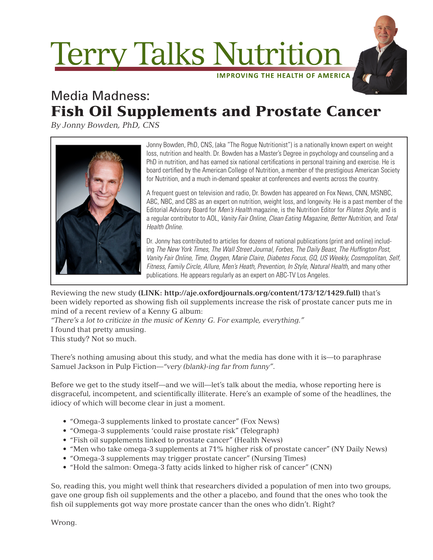# Terry Talks Nutrition

**IMPROVING THE HEALTH OF AMERICA** 

# Media Madness: Fish Oil Supplements and Prostate Cancer

*By Jonny Bowden, PhD, CNS*



Jonny Bowden, PhD, CNS, (aka "The Rogue Nutritionist") is a nationally known expert on weight loss, nutrition and health. Dr. Bowden has a Master's Degree in psychology and counseling and a PhD in nutrition, and has earned six national certifications in personal training and exercise. He is board certified by the American College of Nutrition, a member of the prestigious American Society for Nutrition, and a much in-demand speaker at conferences and events across the country.

A frequent guest on television and radio, Dr. Bowden has appeared on Fox News, CNN, MSNBC, ABC, NBC, and CBS as an expert on nutrition, weight loss, and longevity. He is a past member of the Editorial Advisory Board for *Men's Health* magazine, is the Nutrition Editor for *Pilates Style*, and is a regular contributor to AOL, *Vanity Fair Online, Clean Eating Magazine, Better Nutrition*, and *Total Health Online.* 

Dr. Jonny has contributed to articles for dozens of national publications (print and online) including *The New York Times, The Wall Street Journal, Forbes, The Daily Beast, The Huffington Post, Vanity Fair Online, Time, Oxygen, Marie Claire, Diabetes Focus, GQ, US Weekly, Cosmopolitan, Self, Fitness, Family Circle, Allure, Men's Heath, Prevention, In Style, Natural Health,* and many other publications. He appears regularly as an expert on ABC-TV Los Angeles.

Reviewing the new study **(LINK: http://aje.oxfordjournals.org/content/173/12/1429.full)** that's been widely reported as showing fish oil supplements increase the risk of prostate cancer puts me in mind of a recent review of a Kenny G album:

*"There's a lot to criticize in the music of Kenny G. For example, everything."*

I found that pretty amusing.

This study? Not so much.

There's nothing amusing about this study, and what the media has done with it is—to paraphrase Samuel Jackson in Pulp Fiction—*"very (blank)-ing far from funny"*.

Before we get to the study itself—and we will—let's talk about the media, whose reporting here is disgraceful, incompetent, and scientifically illiterate. Here's an example of some of the headlines, the idiocy of which will become clear in just a moment.

- "Omega-3 supplements linked to prostate cancer" (Fox News)
- "Omega-3 supplements 'could raise prostate risk" (Telegraph)
- "Fish oil supplements linked to prostate cancer" (Health News)
- "Men who take omega-3 supplements at 71% higher risk of prostate cancer" (NY Daily News)
- "Omega-3 supplements may trigger prostate cancer" (Nursing Times)
- "Hold the salmon: Omega-3 fatty acids linked to higher risk of cancer" (CNN)

So, reading this, you might well think that researchers divided a population of men into two groups, gave one group fish oil supplements and the other a placebo, and found that the ones who took the fish oil supplements got way more prostate cancer than the ones who didn't. Right?

Wrong.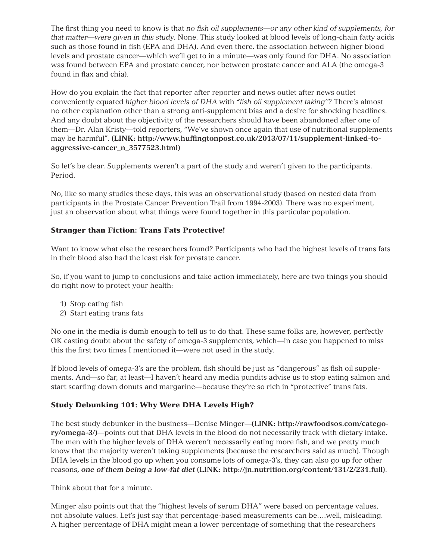The first thing you need to know is that *no fish oil supplements—or any other kind of supplements, for that matter—were given in this study.* None. This study looked at blood levels of long-chain fatty acids such as those found in fish (EPA and DHA). And even there, the association between higher blood levels and prostate cancer—which we'll get to in a minute—was only found for DHA. No association was found between EPA and prostate cancer, nor between prostate cancer and ALA (the omega-3 found in flax and chia).

How do you explain the fact that reporter after reporter and news outlet after news outlet conveniently equated *higher blood levels of DHA* with *"fish oil supplement taking"*? There's almost no other explanation other than a strong anti-supplement bias and a desire for shocking headlines. And any doubt about the objectivity of the researchers should have been abandoned after one of them—Dr. Alan Kristy—told reporters, "We've shown once again that use of nutritional supplements may be harmful". **(LINK: http://www.huffingtonpost.co.uk/2013/07/11/supplement-linked-toaggressive-cancer\_n\_3577523.html)**

So let's be clear. Supplements weren't a part of the study and weren't given to the participants. Period.

No, like so many studies these days, this was an observational study (based on nested data from participants in the Prostate Cancer Prevention Trail from 1994-2003). There was no experiment, just an observation about what things were found together in this particular population.

## Stranger than Fiction: Trans Fats Protective!

Want to know what else the researchers found? Participants who had the highest levels of trans fats in their blood also had the least risk for prostate cancer.

So, if you want to jump to conclusions and take action immediately, here are two things you should do right now to protect your health:

- 1) Stop eating fish
- 2) Start eating trans fats

No one in the media is dumb enough to tell us to do that. These same folks are, however, perfectly OK casting doubt about the safety of omega-3 supplements, which—in case you happened to miss this the first two times I mentioned it—were not used in the study.

If blood levels of omega-3's are the problem, fish should be just as "dangerous" as fish oil supplements. And—so far, at least—I haven't heard any media pundits advise us to stop eating salmon and start scarfing down donuts and margarine—because they're so rich in "protective" trans fats.

## Study Debunking 101: Why Were DHA Levels High?

The best study debunker in the business—Denise Minger—**(LINK: http://rawfoodsos.com/category/omega-3/)**—points out that DHA levels in the blood do not necessarily track with dietary intake. The men with the higher levels of DHA weren't necessarily eating more fish, and we pretty much know that the majority weren't taking supplements (because the researchers said as much). Though DHA levels in the blood go up when you consume lots of omega-3's, they can also go up for other reasons, *one of them being a low-fat diet* **(LINK: http://jn.nutrition.org/content/131/2/231.full)**.

Think about that for a minute.

Minger also points out that the "highest levels of serum DHA" were based on percentage values, not absolute values. Let's just say that percentage-based measurements can be….well, misleading. A higher percentage of DHA might mean a lower percentage of something that the researchers